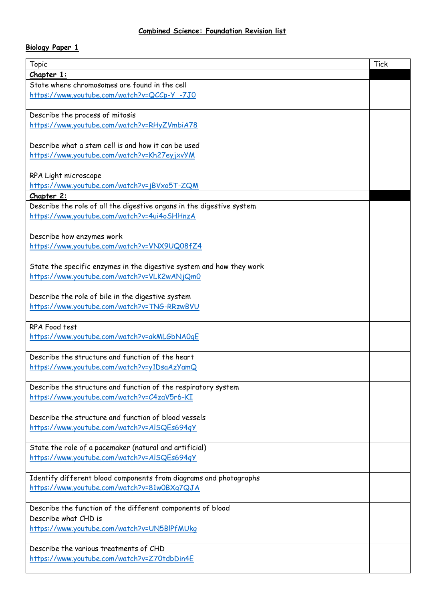## **Biology Paper 1**

| <b>Topic</b>                                                                       | <b>Tick</b> |
|------------------------------------------------------------------------------------|-------------|
| Chapter 1:                                                                         |             |
| State where chromosomes are found in the cell                                      |             |
| https://www.youtube.com/watch?v=QCCp-Y_-7J0                                        |             |
|                                                                                    |             |
| Describe the process of mitosis                                                    |             |
| https://www.youtube.com/watch?v=RHyZVmbiA78                                        |             |
|                                                                                    |             |
| Describe what a stem cell is and how it can be used                                |             |
| https://www.youtube.com/watch?v=Kh27eyjxvYM                                        |             |
|                                                                                    |             |
| RPA Light microscope                                                               |             |
| https://www.youtube.com/watch?v=jBVxo5T-ZQM                                        |             |
| Chapter 2:                                                                         |             |
| Describe the role of all the digestive organs in the digestive system              |             |
| https://www.youtube.com/watch?v=4ui4oSHHnzA                                        |             |
|                                                                                    |             |
| Describe how enzymes work                                                          |             |
| https://www.youtube.com/watch?v=VNX9UQ08fZ4                                        |             |
|                                                                                    |             |
| State the specific enzymes in the digestive system and how they work               |             |
| https://www.youtube.com/watch?v=VLK2wANjQm0                                        |             |
| Describe the role of bile in the digestive system                                  |             |
| https://www.youtube.com/watch?v=TNG-RRzwBVU                                        |             |
|                                                                                    |             |
| RPA Food test                                                                      |             |
| https://www.youtube.com/watch?v=akMLGbNA0qE                                        |             |
|                                                                                    |             |
| Describe the structure and function of the heart                                   |             |
| https://www.youtube.com/watch?v=y1DsaAzYamQ                                        |             |
|                                                                                    |             |
| Describe the structure and function of the respiratory system                      |             |
| https://www.youtube.com/watch?v=C4zaV5r6-KI                                        |             |
|                                                                                    |             |
| Describe the structure and function of blood vessels                               |             |
| https://www.youtube.com/watch?v=AISQEs694qY                                        |             |
|                                                                                    |             |
| State the role of a pacemaker (natural and artificial)                             |             |
| https://www.youtube.com/watch?v=AISQEs694qY                                        |             |
|                                                                                    |             |
| Identify different blood components from diagrams and photographs                  |             |
| https://www.youtube.com/watch?v=81w0BXq7QJA                                        |             |
|                                                                                    |             |
| Describe the function of the different components of blood<br>Describe what CHD is |             |
|                                                                                    |             |
| https://www.youtube.com/watch?v=UN5BIPfMUkg                                        |             |
| Describe the various treatments of CHD                                             |             |
| https://www.youtube.com/watch?v=Z70tdbDin4E                                        |             |
|                                                                                    |             |
|                                                                                    |             |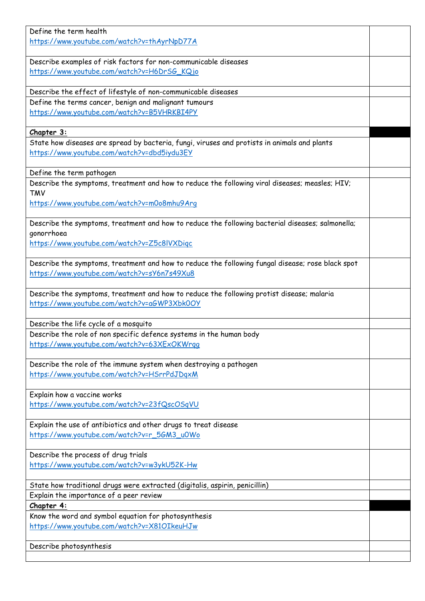| Define the term health                                                                                                 |  |
|------------------------------------------------------------------------------------------------------------------------|--|
| https://www.youtube.com/watch?v=thAyrNpD77A                                                                            |  |
|                                                                                                                        |  |
| Describe examples of risk factors for non-communicable diseases                                                        |  |
| https://www.youtube.com/watch?v=H6DrSG_KQjo                                                                            |  |
|                                                                                                                        |  |
| Describe the effect of lifestyle of non-communicable diseases<br>Define the terms cancer, benign and malignant tumours |  |
| https://www.youtube.com/watch?v=B5VHRKBI4PY                                                                            |  |
|                                                                                                                        |  |
| Chapter 3:                                                                                                             |  |
| State how diseases are spread by bacteria, fungi, viruses and protists in animals and plants                           |  |
| https://www.youtube.com/watch?v=dbd5iydu3EY                                                                            |  |
|                                                                                                                        |  |
| Define the term pathogen                                                                                               |  |
| Describe the symptoms, treatment and how to reduce the following viral diseases; measles; HIV;                         |  |
| <b>TMV</b>                                                                                                             |  |
| https://www.youtube.com/watch?v=m0o8mhu9Arq                                                                            |  |
|                                                                                                                        |  |
| Describe the symptoms, treatment and how to reduce the following bacterial diseases; salmonella;<br>gonorrhoea         |  |
| https://www.youtube.com/watch?v=Z5c8lVXDigc                                                                            |  |
|                                                                                                                        |  |
| Describe the symptoms, treatment and how to reduce the following fungal disease; rose black spot                       |  |
| https://www.youtube.com/watch?v=sY6n7s49Xu8                                                                            |  |
|                                                                                                                        |  |
| Describe the symptoms, treatment and how to reduce the following protist disease; malaria                              |  |
| https://www.youtube.com/watch?v=aGWP3Xbk0OY                                                                            |  |
|                                                                                                                        |  |
| Describe the life cycle of a mosquito                                                                                  |  |
| Describe the role of non specific defence systems in the human body                                                    |  |
| https://www.youtube.com/watch?v=63XExOKWrgg                                                                            |  |
| Describe the role of the immune system when destroying a pathogen                                                      |  |
| https://www.youtube.com/watch?v=HSrrPdJDqxM                                                                            |  |
|                                                                                                                        |  |
| Explain how a vaccine works                                                                                            |  |
| https://www.youtube.com/watch?v=23fQscOSqVU                                                                            |  |
|                                                                                                                        |  |
| Explain the use of antibiotics and other drugs to treat disease                                                        |  |
| https://www.youtube.com/watch?v=r_5GM3_u0Wo                                                                            |  |
| Describe the process of drug trials                                                                                    |  |
| https://www.youtube.com/watch?v=w3ykU52K-Hw                                                                            |  |
|                                                                                                                        |  |
| State how traditional drugs were extracted (digitalis, aspirin, penicillin)                                            |  |
| Explain the importance of a peer review                                                                                |  |
| Chapter 4:                                                                                                             |  |
| Know the word and symbol equation for photosynthesis                                                                   |  |
| https://www.youtube.com/watch?v=X81OIkeuHJw                                                                            |  |
|                                                                                                                        |  |
| Describe photosynthesis                                                                                                |  |
|                                                                                                                        |  |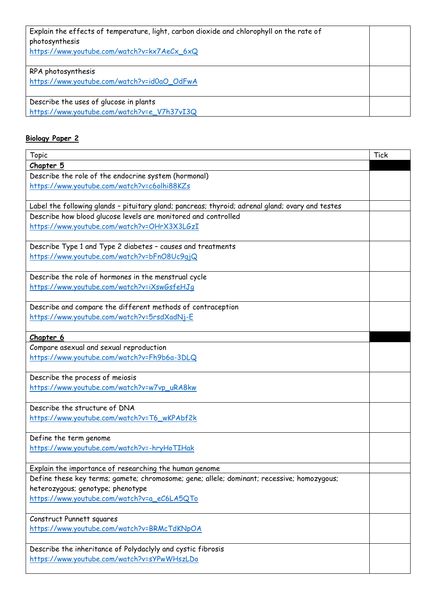| Explain the effects of temperature, light, carbon dioxide and chlorophyll on the rate of<br>photosynthesis<br>https://www.youtube.com/watch?v=kx7AeCx_6xQ |  |
|-----------------------------------------------------------------------------------------------------------------------------------------------------------|--|
| RPA photosynthesis<br>https://www.youtube.com/watch?v=id0aO_OdFwA                                                                                         |  |
| Describe the uses of glucose in plants<br>https://www.youtube.com/watch?v=e_V7h37vI3Q                                                                     |  |

## **Biology Paper 2**

| <b>Topic</b>                                                                                     | <b>Tick</b> |
|--------------------------------------------------------------------------------------------------|-------------|
| Chapter 5                                                                                        |             |
| Describe the role of the endocrine system (hormonal)                                             |             |
| https://www.youtube.com/watch?v=c6olhi88KZs                                                      |             |
|                                                                                                  |             |
| Label the following glands - pituitary gland; pancreas; thyroid; adrenal gland; ovary and testes |             |
| Describe how blood glucose levels are monitored and controlled                                   |             |
| https://www.youtube.com/watch?v=OHrX3X3LGzI                                                      |             |
|                                                                                                  |             |
| Describe Type 1 and Type 2 diabetes - causes and treatments                                      |             |
| https://www.youtube.com/watch?v=bFnO8Uc9qjQ                                                      |             |
|                                                                                                  |             |
| Describe the role of hormones in the menstrual cycle                                             |             |
| https://www.youtube.com/watch?v=iXswGsfeHJq                                                      |             |
|                                                                                                  |             |
| Describe and compare the different methods of contraception                                      |             |
| https://www.youtube.com/watch?v=5rsdXadNj-E                                                      |             |
|                                                                                                  |             |
| Chapter 6                                                                                        |             |
| Compare asexual and sexual reproduction                                                          |             |
| https://www.youtube.com/watch?v=Fh9b6a-3DLQ                                                      |             |
|                                                                                                  |             |
| Describe the process of meiosis                                                                  |             |
| https://www.youtube.com/watch?v=w7vp_uRA8kw                                                      |             |
| Describe the structure of DNA                                                                    |             |
| https://www.youtube.com/watch?v=T6_wKPAbf2k                                                      |             |
|                                                                                                  |             |
| Define the term genome                                                                           |             |
| https://www.youtube.com/watch?v=-hryHoTIHak                                                      |             |
|                                                                                                  |             |
| Explain the importance of researching the human genome                                           |             |
| Define these key terms; gamete; chromosome; gene; allele; dominant; recessive; homozygous;       |             |
| heterozygous; genotype; phenotype                                                                |             |
| https://www.youtube.com/watch?v=a_eC6LA5QTo                                                      |             |
|                                                                                                  |             |
| Construct Punnett squares                                                                        |             |
| https://www.youtube.com/watch?v=BRMcTdKNpOA                                                      |             |
|                                                                                                  |             |
| Describe the inheritance of Polydaclyly and cystic fibrosis                                      |             |
| https://www.youtube.com/watch?v=sYPwWHszLDo                                                      |             |
|                                                                                                  |             |